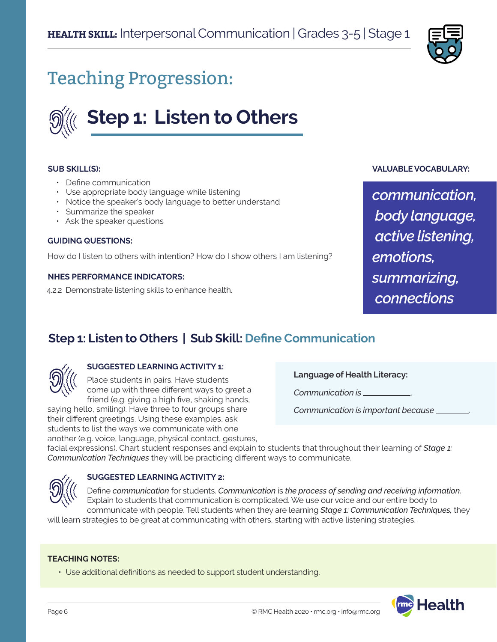

## Teaching Progression:

# **Step 1: Listen to Others**

#### **SUB SKILL(S):**

- Define communication
- Use appropriate body language while listening
- Notice the speaker's body language to better understand
- Summarize the speaker
- Ask the speaker questions

#### **GUIDING QUESTIONS:**

How do I listen to others with intention? How do I show others I am listening?

#### **NHES PERFORMANCE INDICATORS:**

4.2.2 Demonstrate listening skills to enhance health.

### **VALUABLE VOCABULARY:**

*communication, body language, active listening, emotions, summarizing, connections*

### **Step 1: Listen to Others | Sub Skill: Define Communication**



### **SUGGESTED LEARNING ACTIVITY 1:**

Place students in pairs. Have students come up with three different ways to greet a friend (e.g. giving a high five, shaking hands,

saying hello, smiling). Have three to four groups share their different greetings. Using these examples, ask students to list the ways we communicate with one another (e.g. voice, language, physical contact, gestures, **Language of Health Literacy:**

*Communication is* .

*Communication is important because* .

facial expressions). Chart student responses and explain to students that throughout their learning of *Stage 1: Communication Techniques* they will be practicing different ways to communicate.



#### **SUGGESTED LEARNING ACTIVITY 2:**

Define *communication* for students. *Communication* is *the process of sending and receiving information.*  Explain to students that communication is complicated. We use our voice and our entire body to communicate with people. Tell students when they are learning *Stage 1: Communication Techniques,* they

will learn strategies to be great at communicating with others, starting with active listening strategies.

#### **TEACHING NOTES:**

• Use additional definitions as needed to support student understanding.

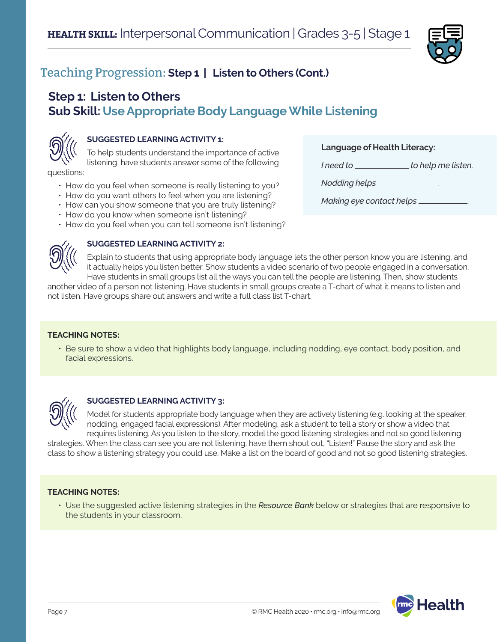

### **Step 1: Listen to Others Sub Skill: Use Appropriate Body Language While Listening**



### **SUGGESTED LEARNING ACTIVITY 1:**

To help students understand the importance of active listening, have students answer some of the following

questions:

- How do you feel when someone is really listening to you?
- How do you want others to feel when you are listening?
- How can you show someone that you are truly listening?
- How do you know when someone isn't listening?
- How do you feel when you can tell someone isn't listening?



#### **SUGGESTED LEARNING ACTIVITY 2:**

Explain to students that using appropriate body language lets the other person know you are listening, and it actually helps you listen better. Show students a video scenario of two people engaged in a conversation. Have students in small groups list all the ways you can tell the people are listening. Then, show students

another video of a person not listening. Have students in small groups create a T-chart of what it means to listen and not listen. Have groups share out answers and write a full class list T-chart.

#### **TEACHING NOTES:**

• Be sure to show a video that highlights body language, including nodding, eye contact, body position, and facial expressions.



### **SUGGESTED LEARNING ACTIVITY 3:**

Model for students appropriate body language when they are actively listening (e.g. looking at the speaker, nodding, engaged facial expressions). After modeling, ask a student to tell a story or show a video that requires listening. As you listen to the story, model the good listening strategies and not so good listening

strategies. When the class can see you are not listening, have them shout out, "Listen!" Pause the story and ask the class to show a listening strategy you could use. Make a list on the board of good and not so good listening strategies.

### **TEACHING NOTES:**

• Use the suggested active listening strategies in the *Resource Bank* below or strategies that are responsive to the students in your classroom.



#### **Language of Health Literacy:**

I need to **the interest of the interpolation** *I* need to **help** me listen.

*Nodding helps* .

*Making eye contact helps* .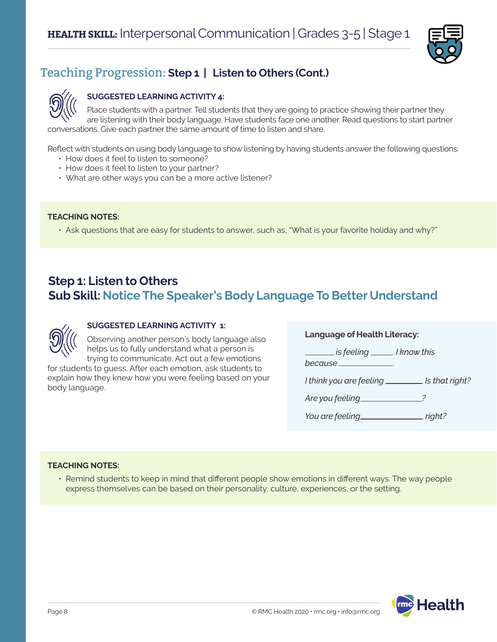



### **SUGGESTED LEARNING ACTIVITY 4:**

Place students with a partner. Tell students that they are going to practice showing their partner they are listening with their body language. Have students face one another. Read questions to start partner conversations. Give each partner the same amount of time to listen and share.

Reflect with students on using body language to show listening by having students answer the following questions:

- How does it feel to listen to someone?
- How does it feel to listen to your partner?
- What are other ways you can be a more active listener?

### **TEACHING NOTES:**

• Ask questions that are easy for students to answer, such as, "What is your favorite holiday and why?"

### **Step 1: Listen to Others Sub Skill: Notice The Speaker's Body Language To Better Understand**



### **SUGGESTED LEARNING ACTIVITY 1:**

Observing another person's body language also helps us to fully understand what a person is trying to communicate. Act out a few emotions

for students to guess. After each emotion, ask students to explain how they knew how you were feeling based on your body language.

#### **Language of Health Literacy:**

 *is feeling* . *I know this because* . *I think you are feeling* . *Is that right? Are you feeling ? You are feeling*<sub>*<i><u><i>m*</sub> *right?*</u></sub>

### **TEACHING NOTES:**

• Remind students to keep in mind that different people show emotions in different ways. The way people express themselves can be based on their personality, culture, experiences, or the setting.

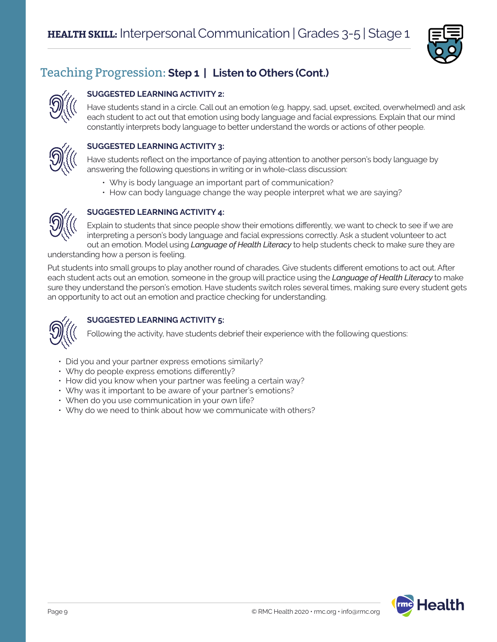

### **SUGGESTED LEARNING ACTIVITY 2:**

Have students stand in a circle. Call out an emotion (e.g. happy, sad, upset, excited, overwhelmed) and ask each student to act out that emotion using body language and facial expressions. Explain that our mind constantly interprets body language to better understand the words or actions of other people.



### **SUGGESTED LEARNING ACTIVITY 3:**

Have students reflect on the importance of paying attention to another person's body language by answering the following questions in writing or in whole-class discussion:

- Why is body language an important part of communication?
- How can body language change the way people interpret what we are saying?



### **SUGGESTED LEARNING ACTIVITY 4:**

Explain to students that since people show their emotions differently, we want to check to see if we are interpreting a person's body language and facial expressions correctly. Ask a student volunteer to act out an emotion. Model using *Language of Health Literacy* to help students check to make sure they are

understanding how a person is feeling.

Put students into small groups to play another round of charades. Give students different emotions to act out. After each student acts out an emotion, someone in the group will practice using the *Language of Health Literacy* to make sure they understand the person's emotion. Have students switch roles several times, making sure every student gets an opportunity to act out an emotion and practice checking for understanding.



### **SUGGESTED LEARNING ACTIVITY 5:**

Following the activity, have students debrief their experience with the following questions:

- Did you and your partner express emotions similarly?
- Why do people express emotions differently?
- How did you know when your partner was feeling a certain way?
- Why was it important to be aware of your partner's emotions?
- When do you use communication in your own life?
- Why do we need to think about how we communicate with others?